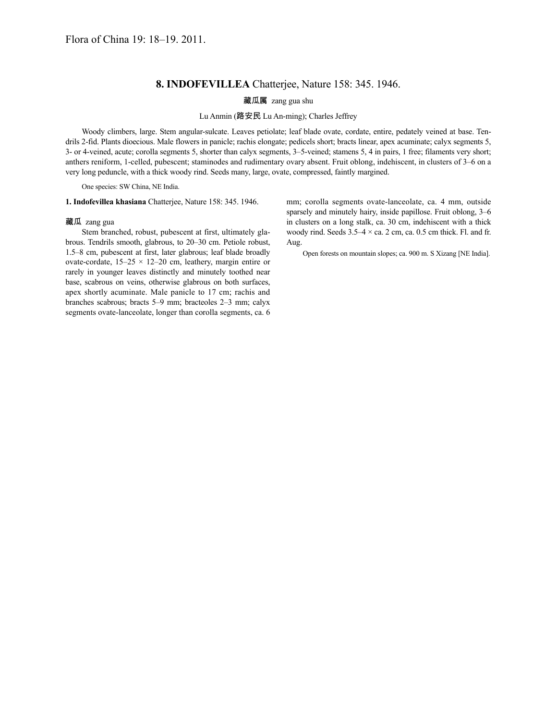## **8. INDOFEVILLEA** Chatterjee, Nature 158: 345. 1946.

藏瓜属 zang gua shu

Lu Anmin (路安民 Lu An-ming); Charles Jeffrey

Woody climbers, large. Stem angular-sulcate. Leaves petiolate; leaf blade ovate, cordate, entire, pedately veined at base. Tendrils 2-fid. Plants dioecious. Male flowers in panicle; rachis elongate; pedicels short; bracts linear, apex acuminate; calyx segments 5, 3- or 4-veined, acute; corolla segments 5, shorter than calyx segments, 3–5-veined; stamens 5, 4 in pairs, 1 free; filaments very short; anthers reniform, 1-celled, pubescent; staminodes and rudimentary ovary absent. Fruit oblong, indehiscent, in clusters of 3–6 on a very long peduncle, with a thick woody rind. Seeds many, large, ovate, compressed, faintly margined.

One species: SW China, NE India.

**1. Indofevillea khasiana** Chatterjee, Nature 158: 345. 1946.

## 藏瓜 zang gua

Stem branched, robust, pubescent at first, ultimately glabrous. Tendrils smooth, glabrous, to 20–30 cm. Petiole robust, 1.5–8 cm, pubescent at first, later glabrous; leaf blade broadly ovate-cordate,  $15-25 \times 12-20$  cm, leathery, margin entire or rarely in younger leaves distinctly and minutely toothed near base, scabrous on veins, otherwise glabrous on both surfaces, apex shortly acuminate. Male panicle to 17 cm; rachis and branches scabrous; bracts 5–9 mm; bracteoles 2–3 mm; calyx segments ovate-lanceolate, longer than corolla segments, ca. 6

mm; corolla segments ovate-lanceolate, ca. 4 mm, outside sparsely and minutely hairy, inside papillose. Fruit oblong, 3–6 in clusters on a long stalk, ca. 30 cm, indehiscent with a thick woody rind. Seeds  $3.5-4 \times$  ca. 2 cm, ca. 0.5 cm thick. Fl. and fr. Aug.

Open forests on mountain slopes; ca. 900 m. S Xizang [NE India].